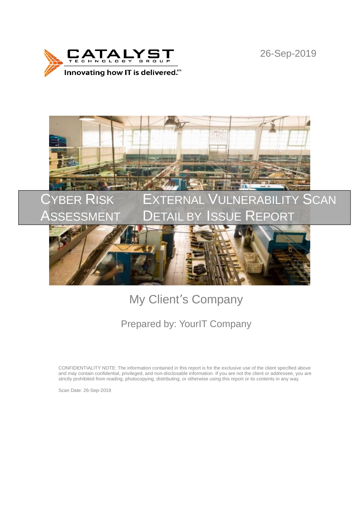

26-Sep-2019



# My Client's Company

## Prepared by: YourIT Company

CONFIDENTIALITY NOTE: The information contained in this report is for the exclusive use of the client specified above and may contain confidential, privileged, and non-disclosable information. If you are not the client or addressee, you are strictly prohibited from reading, photocopying, distributing, or otherwise using this report or its contents in any way.

Scan Date: 26-Sep-2019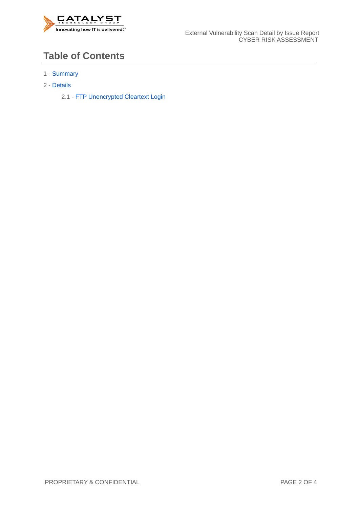

### **Table of Contents**

- 1 Summary
- 2 Details

2.1 - FTP Unencrypted Cleartext Login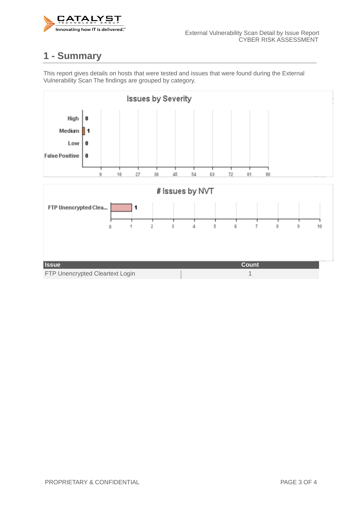

### **1 - Summary**

This report gives details on hosts that were tested and issues that were found during the External Vulnerability Scan The findings are grouped by category.